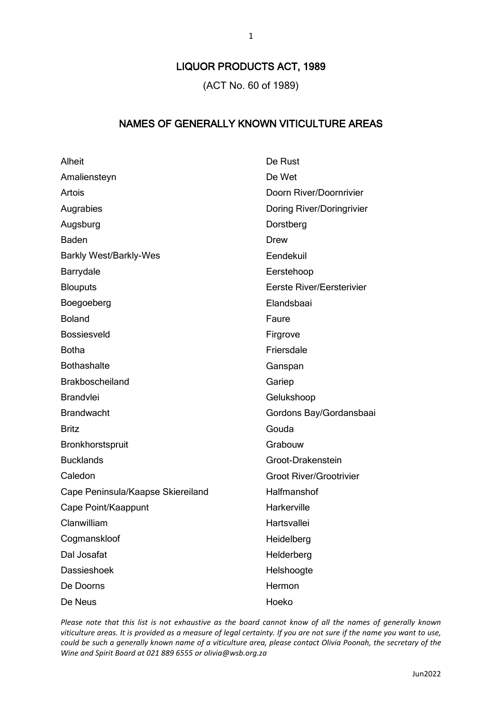## LIQUOR PRODUCTS ACT, 1989

(ACT No. 60 of 1989)

## NAMES OF GENERALLY KNOWN VITICULTURE AREAS

| Alheit                            | De Rust                          |
|-----------------------------------|----------------------------------|
| Amaliensteyn                      | De Wet                           |
| Artois                            | Doorn River/Doornrivier          |
| Augrabies                         | Doring River/Doringrivier        |
| Augsburg                          | Dorstberg                        |
| Baden                             | Drew                             |
| <b>Barkly West/Barkly-Wes</b>     | Eendekuil                        |
| Barrydale                         | Eerstehoop                       |
| <b>Blouputs</b>                   | <b>Eerste River/Eersterivier</b> |
| Boegoeberg                        | Elandsbaai                       |
| <b>Boland</b>                     | Faure                            |
| Bossiesveld                       | Firgrove                         |
| <b>Botha</b>                      | Friersdale                       |
| <b>Bothashalte</b>                | Ganspan                          |
| <b>Brakboscheiland</b>            | Gariep                           |
| <b>Brandvlei</b>                  | Gelukshoop                       |
| <b>Brandwacht</b>                 | Gordons Bay/Gordansbaai          |
| <b>Britz</b>                      | Gouda                            |
| Bronkhorstspruit                  | Grabouw                          |
| <b>Bucklands</b>                  | Groot-Drakenstein                |
| Caledon                           | <b>Groot River/Grootrivier</b>   |
| Cape Peninsula/Kaapse Skiereiland | Halfmanshof                      |
| Cape Point/Kaappunt               | Harkerville                      |
| Clanwilliam                       | Hartsvallei                      |
| Cogmanskloof                      | Heidelberg                       |
| Dal Josafat                       | Helderberg                       |
| <b>Dassieshoek</b>                | Helshoogte                       |
| De Doorns                         | Hermon                           |
| De Neus                           | Hoeko                            |

*Please note that this list is not exhaustive as the board cannot know of all the names of generally known viticulture areas. It is provided as a measure of legal certainty. If you are not sure if the name you want to use, could be such a generally known name of a viticulture area, please contact Olivia Poonah, the secretary of the Wine and Spirit Board at 021 889 6555 or olivia@wsb.org.za*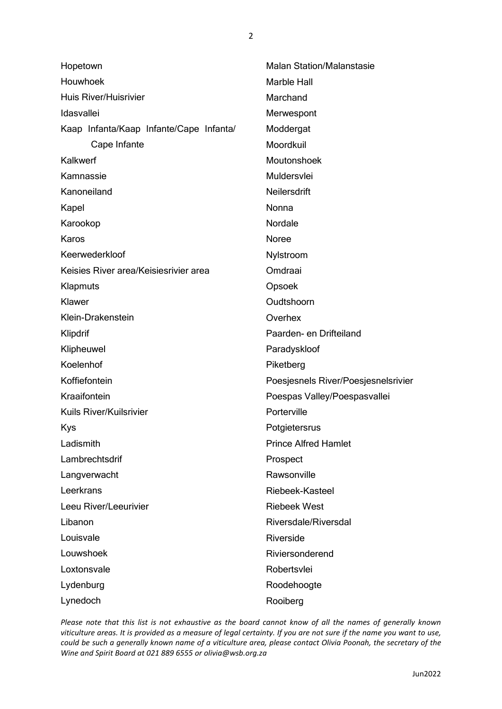| Hopetown                                | <b>Malan Station/Malanstasie</b>    |
|-----------------------------------------|-------------------------------------|
| Houwhoek                                | Marble Hall                         |
| Huis River/Huisrivier                   | Marchand                            |
| Idasvallei                              | Merwespont                          |
| Kaap Infanta/Kaap Infante/Cape Infanta/ | Moddergat                           |
| Cape Infante                            | Moordkuil                           |
| Kalkwerf                                | Moutonshoek                         |
| Kamnassie                               | Muldersvlei                         |
| Kanoneiland                             | Neilersdrift                        |
| Kapel                                   | Nonna                               |
| Karookop                                | Nordale                             |
| Karos                                   | Noree                               |
| Keerwederkloof                          | Nylstroom                           |
| Keisies River area/Keisiesrivier area   | Omdraai                             |
| Klapmuts                                | Opsoek                              |
| Klawer                                  | Oudtshoorn                          |
| Klein-Drakenstein                       | Overhex                             |
| Klipdrif                                | Paarden- en Drifteiland             |
| Klipheuwel                              | Paradyskloof                        |
| Koelenhof                               | Piketberg                           |
| Koffiefontein                           | Poesjesnels River/Poesjesnelsrivier |
| Kraaifontein                            | Poespas Valley/Poespasvallei        |
| <b>Kuils River/Kuilsrivier</b>          | Porterville                         |
| Kys                                     | Potgietersrus                       |
| Ladismith                               | <b>Prince Alfred Hamlet</b>         |
| Lambrechtsdrif                          | Prospect                            |
| Langverwacht                            | Rawsonville                         |
| Leerkrans                               | Riebeek-Kasteel                     |
| Leeu River/Leeurivier                   | <b>Riebeek West</b>                 |
| Libanon                                 | Riversdale/Riversdal                |
| Louisvale                               | Riverside                           |
| Louwshoek                               | Riviersonderend                     |
| Loxtonsvale                             | Robertsvlei                         |
| Lydenburg                               | Roodehoogte                         |
| Lynedoch                                | Rooiberg                            |

*Please note that this list is not exhaustive as the board cannot know of all the names of generally known viticulture areas. It is provided as a measure of legal certainty. If you are not sure if the name you want to use, could be such a generally known name of a viticulture area, please contact Olivia Poonah, the secretary of the Wine and Spirit Board at 021 889 6555 or olivia@wsb.org.za*